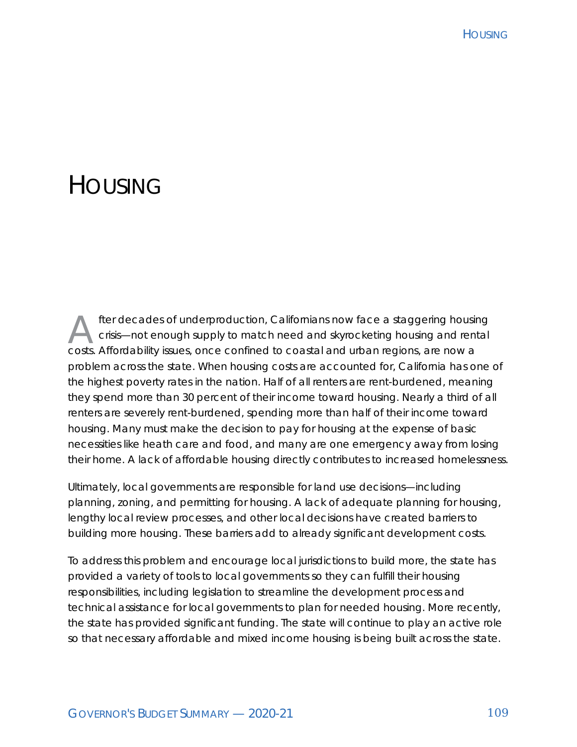# **HOUSING**

fter decades of underproduction, Californians now face a staggering housing<br>crisis—not enough supply to match need and skyrocketing housing and rental<br>costs. Affectebility issues, ande confined to coastal and urban regions crisis—not enough supply to match need and skyrocketing housing and rental costs. Affordability issues, once confined to coastal and urban regions, are now a problem across the state. When housing costs are accounted for, California has one of the highest poverty rates in the nation. Half of all renters are rent-burdened, meaning they spend more than 30 percent of their income toward housing. Nearly a third of all renters are severely rent-burdened, spending more than half of their income toward housing. Many must make the decision to pay for housing at the expense of basic necessities like heath care and food, and many are one emergency away from losing their home. A lack of affordable housing directly contributes to increased homelessness.

Ultimately, local governments are responsible for land use decisions—including planning, zoning, and permitting for housing. A lack of adequate planning for housing, lengthy local review processes, and other local decisions have created barriers to building more housing. These barriers add to already significant development costs.

To address this problem and encourage local jurisdictions to build more, the state has provided a variety of tools to local governments so they can fulfill their housing responsibilities, including legislation to streamline the development process and technical assistance for local governments to plan for needed housing. More recently, the state has provided significant funding. The state will continue to play an active role so that necessary affordable and mixed income housing is being built across the state.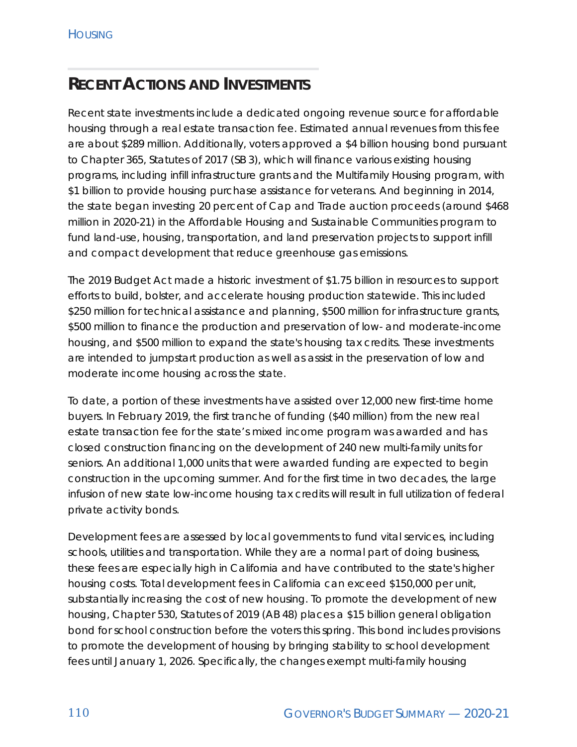#### **RECENT ACTIONS AND INVESTMENTS**

Recent state investments include a dedicated ongoing revenue source for affordable housing through a real estate transaction fee. Estimated annual revenues from this fee are about \$289 million. Additionally, voters approved a \$4 billion housing bond pursuant to Chapter 365, Statutes of 2017 (SB 3), which will finance various existing housing programs, including infill infrastructure grants and the Multifamily Housing program, with \$1 billion to provide housing purchase assistance for veterans. And beginning in 2014, the state began investing 20 percent of Cap and Trade auction proceeds (around \$468 million in 2020-21) in the Affordable Housing and Sustainable Communities program to fund land-use, housing, transportation, and land preservation projects to support infill and compact development that reduce greenhouse gas emissions.

The 2019 Budget Act made a historic investment of \$1.75 billion in resources to support efforts to build, bolster, and accelerate housing production statewide. This included \$250 million for technical assistance and planning, \$500 million for infrastructure grants, \$500 million to finance the production and preservation of low- and moderate-income housing, and \$500 million to expand the state's housing tax credits. These investments are intended to jumpstart production as well as assist in the preservation of low and moderate income housing across the state.

To date, a portion of these investments have assisted over 12,000 new first-time home buyers. In February 2019, the first tranche of funding (\$40 million) from the new real estate transaction fee for the state's mixed income program was awarded and has closed construction financing on the development of 240 new multi-family units for seniors. An additional 1,000 units that were awarded funding are expected to begin construction in the upcoming summer. And for the first time in two decades, the large infusion of new state low-income housing tax credits will result in full utilization of federal private activity bonds.

Development fees are assessed by local governments to fund vital services, including schools, utilities and transportation. While they are a normal part of doing business, these fees are especially high in California and have contributed to the state's higher housing costs. Total development fees in California can exceed \$150,000 per unit, substantially increasing the cost of new housing. To promote the development of new housing, Chapter 530, Statutes of 2019 (AB 48) places a \$15 billion general obligation bond for school construction before the voters this spring. This bond includes provisions to promote the development of housing by bringing stability to school development fees until January 1, 2026. Specifically, the changes exempt multi-family housing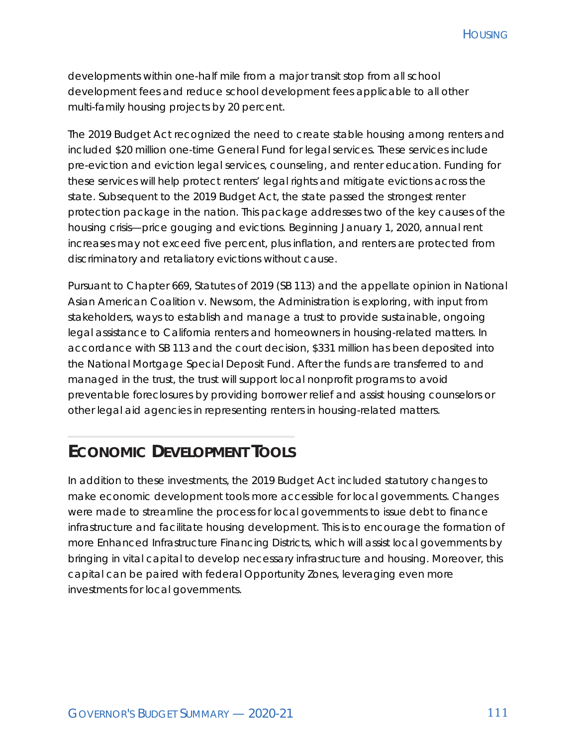numberCompany and the company of the company of the company of the company of the company of the company of the company of the company of the company of the company of the company of the company of the company of the compa

developments within one-half mile from a major transit stop from all school development fees and reduce school development fees applicable to all other multi-family housing projects by 20 percent.

The 2019 Budget Act recognized the need to create stable housing among renters and included \$20 million one-time General Fund for legal services. These services include pre-eviction and eviction legal services, counseling, and renter education. Funding for these services will help protect renters' legal rights and mitigate evictions across the state. Subsequent to the 2019 Budget Act, the state passed the strongest renter protection package in the nation. This package addresses two of the key causes of the housing crisis—price gouging and evictions. Beginning January 1, 2020, annual rent increases may not exceed five percent, plus inflation, and renters are protected from discriminatory and retaliatory evictions without cause.

Pursuant to Chapter 669, Statutes of 2019 (SB 113) and the appellate opinion in *National Asian American Coalition v. Newsom*, the Administration is exploring, with input from stakeholders, ways to establish and manage a trust to provide sustainable, ongoing legal assistance to California renters and homeowners in housing-related matters. In accordance with SB 113 and the court decision, \$331 million has been deposited into the National Mortgage Special Deposit Fund. After the funds are transferred to and managed in the trust, the trust will support local nonprofit programs to avoid preventable foreclosures by providing borrower relief and assist housing counselors or other legal aid agencies in representing renters in housing-related matters.

#### **ECONOMIC DEVELOPMENT TOOLS**

In addition to these investments, the 2019 Budget Act included statutory changes to make economic development tools more accessible for local governments. Changes were made to streamline the process for local governments to issue debt to finance infrastructure and facilitate housing development. This is to encourage the formation of more Enhanced Infrastructure Financing Districts, which will assist local governments by bringing in vital capital to develop necessary infrastructure and housing. Moreover, this capital can be paired with federal Opportunity Zones, leveraging even more investments for local governments.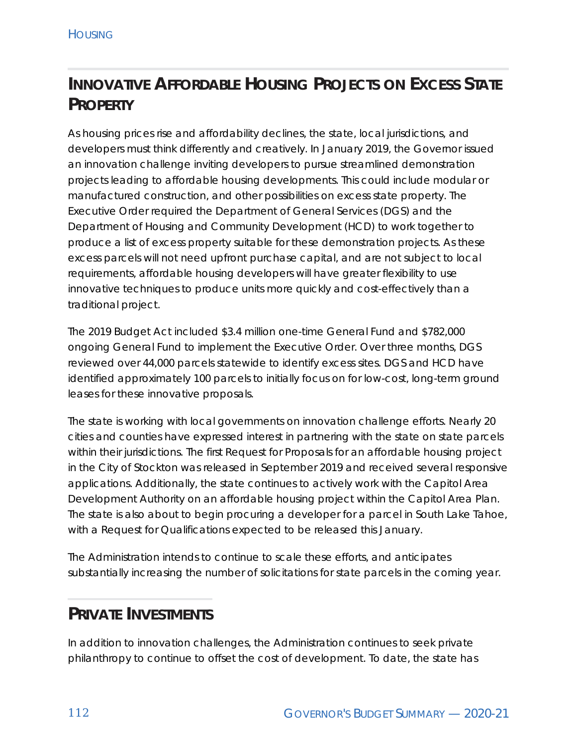# **INNOVATIVE AFFORDABLE HOUSING PROJECTS ON EXCESS STATE PROPERTY**

As housing prices rise and affordability declines, the state, local jurisdictions, and developers must think differently and creatively. In January 2019, the Governor issued an innovation challenge inviting developers to pursue streamlined demonstration projects leading to affordable housing developments. This could include modular or manufactured construction, and other possibilities on excess state property. The Executive Order required the Department of General Services (DGS) and the Department of Housing and Community Development (HCD) to work together to produce a list of excess property suitable for these demonstration projects. As these excess parcels will not need upfront purchase capital, and are not subject to local requirements, affordable housing developers will have greater flexibility to use innovative techniques to produce units more quickly and cost-effectively than a traditional project.

The 2019 Budget Act included \$3.4 million one-time General Fund and \$782,000 ongoing General Fund to implement the Executive Order. Over three months, DGS reviewed over 44,000 parcels statewide to identify excess sites. DGS and HCD have identified approximately 100 parcels to initially focus on for low-cost, long-term ground leases for these innovative proposals.

The state is working with local governments on innovation challenge efforts. Nearly 20 cities and counties have expressed interest in partnering with the state on state parcels within their jurisdictions. The first Request for Proposals for an affordable housing project in the City of Stockton was released in September 2019 and received several responsive applications. Additionally, the state continues to actively work with the Capitol Area Development Authority on an affordable housing project within the Capitol Area Plan. The state is also about to begin procuring a developer for a parcel in South Lake Tahoe, with a Request for Qualifications expected to be released this January.

The Administration intends to continue to scale these efforts, and anticipates substantially increasing the number of solicitations for state parcels in the coming year.

#### **PRIVATE INVESTMENTS**

In addition to innovation challenges, the Administration continues to seek private philanthropy to continue to offset the cost of development. To date, the state has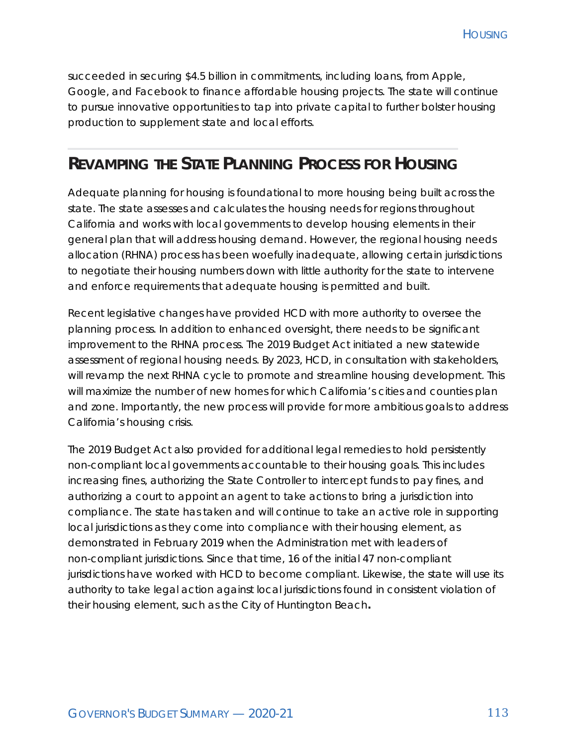succeeded in securing \$4.5 billion in commitments, including loans, from Apple, Google, and Facebook to finance affordable housing projects. The state will continue to pursue innovative opportunities to tap into private capital to further bolster housing production to supplement state and local efforts.

#### **REVAMPING THE STATE PLANNING PROCESS FOR HOUSING**

Adequate planning for housing is foundational to more housing being built across the state. The state assesses and calculates the housing needs for regions throughout California and works with local governments to develop housing elements in their general plan that will address housing demand. However, the regional housing needs allocation (RHNA) process has been woefully inadequate, allowing certain jurisdictions to negotiate their housing numbers down with little authority for the state to intervene and enforce requirements that adequate housing is permitted and built.

Recent legislative changes have provided HCD with more authority to oversee the planning process. In addition to enhanced oversight, there needs to be significant improvement to the RHNA process. The 2019 Budget Act initiated a new statewide assessment of regional housing needs. By 2023, HCD, in consultation with stakeholders, will revamp the next RHNA cycle to promote and streamline housing development. This will maximize the number of new homes for which California's cities and counties plan and zone. Importantly, the new process will provide for more ambitious goals to address California's housing crisis.

The 2019 Budget Act also provided for additional legal remedies to hold persistently non-compliant local governments accountable to their housing goals. This includes increasing fines, authorizing the State Controller to intercept funds to pay fines, and authorizing a court to appoint an agent to take actions to bring a jurisdiction into compliance. The state has taken and will continue to take an active role in supporting local jurisdictions as they come into compliance with their housing element, as demonstrated in February 2019 when the Administration met with leaders of non-compliant jurisdictions. Since that time, 16 of the initial 47 non-compliant jurisdictions have worked with HCD to become compliant. Likewise, the state will use its authority to take legal action against local jurisdictions found in consistent violation of their housing element, such as the City of Huntington Beach**.**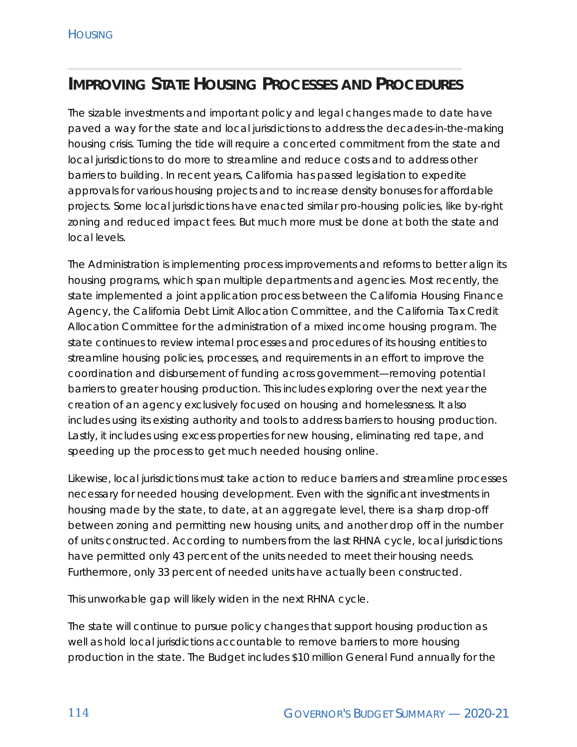### **IMPROVING STATE HOUSING PROCESSES AND PROCEDURES**

The sizable investments and important policy and legal changes made to date have paved a way for the state and local jurisdictions to address the decades-in-the-making housing crisis. Turning the tide will require a concerted commitment from the state and local jurisdictions to do more to streamline and reduce costs and to address other barriers to building. In recent years, California has passed legislation to expedite approvals for various housing projects and to increase density bonuses for affordable projects. Some local jurisdictions have enacted similar pro-housing policies, like by-right zoning and reduced impact fees. But much more must be done at both the state and local levels.

The Administration is implementing process improvements and reforms to better align its housing programs, which span multiple departments and agencies. Most recently, the state implemented a joint application process between the California Housing Finance Agency, the California Debt Limit Allocation Committee, and the California Tax Credit Allocation Committee for the administration of a mixed income housing program. The state continues to review internal processes and procedures of its housing entities to streamline housing policies, processes, and requirements in an effort to improve the coordination and disbursement of funding across government—removing potential barriers to greater housing production. This includes exploring over the next year the creation of an agency exclusively focused on housing and homelessness. It also includes using its existing authority and tools to address barriers to housing production. Lastly, it includes using excess properties for new housing, eliminating red tape, and speeding up the process to get much needed housing online.

Likewise, local jurisdictions must take action to reduce barriers and streamline processes necessary for needed housing development. Even with the significant investments in housing made by the state, to date, at an aggregate level, there is a sharp drop-off between zoning and permitting new housing units, and another drop off in the number of units constructed. According to numbers from the last RHNA cycle, local jurisdictions have permitted only 43 percent of the units needed to meet their housing needs. Furthermore, only 33 percent of needed units have actually been constructed.

This unworkable gap will likely widen in the next RHNA cycle.

The state will continue to pursue policy changes that support housing production as well as hold local jurisdictions accountable to remove barriers to more housing production in the state. The Budget includes \$10 million General Fund annually for the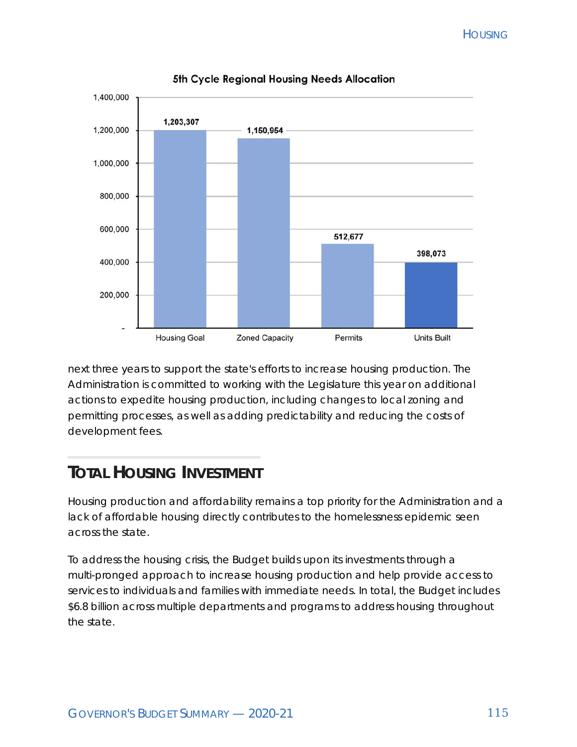

5th Cycle Regional Housing Needs Allocation

next three years to support the state's efforts to increase housing production. The Administration is committed to working with the Legislature this year on additional actions to expedite housing production, including changes to local zoning and permitting processes, as well as adding predictability and reducing the costs of development fees.

# **TOTAL HOUSING INVESTMENT**

Housing production and affordability remains a top priority for the Administration and a lack of affordable housing directly contributes to the homelessness epidemic seen across the state.

To address the housing crisis, the Budget builds upon its investments through a multi-pronged approach to increase housing production and help provide access to services to individuals and families with immediate needs. In total, the Budget includes \$6.8 billion across multiple departments and programs to address housing throughout the state.